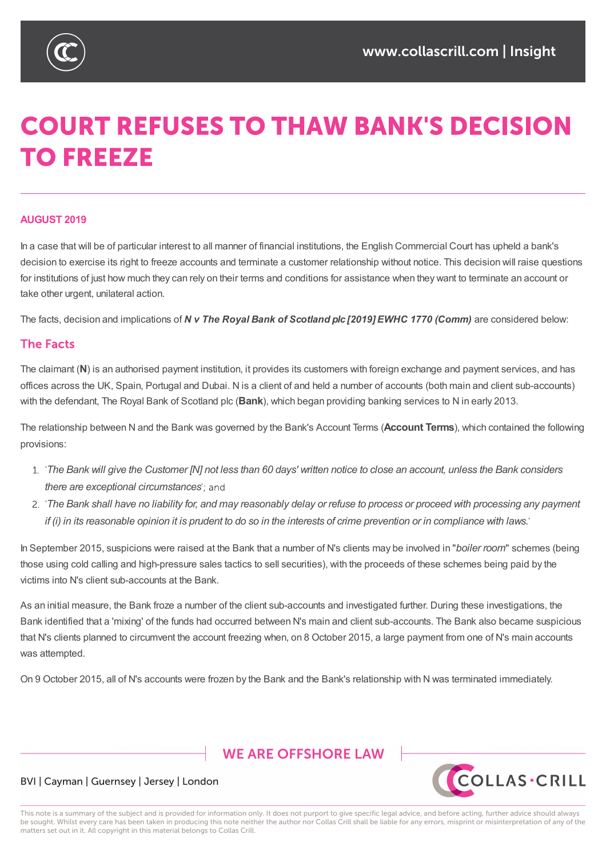

# **COURT REFUSES TO THAW BANK'S DECISION TO FREEZE**

### **AUGUST 2019**

In a case that will be of particular interest to all manner of financial institutions, the English Commercial Court has upheld a bank's decision to exercise its right to freeze accounts and terminate a customer relationship without notice. This decision will raise questions for institutions of just how much they can rely on their terms and conditions for assistance when they want to terminate an account or take other urgent, unilateral action.

The facts, decision and implications of *N v The Royal Bank of Scotland plc [2019] EWHC 1770 (Comm)* are considered below:

### **The Facts**

The claimant (**N**) is an authorised payment institution, it provides its customers with foreign exchange and payment services, and has offices across the UK, Spain, Portugal and Dubai. N is a client of and held a number of accounts (both main and client sub-accounts) with the defendant, The Royal Bank of Scotland plc (**Bank**), which began providing banking services to N in early 2013.

The relationship between N and the Bank was governed by the Bank's Account Terms (**Account Terms**), which contained the following provisions:

- 1. The Bank will give the Customer [N] not less than 60 days' written notice to close an account, unless the Bank considers *there are exceptional circumstances*
- 2. The Bank shall have no liability for, and may reasonably delay or refuse to process or proceed with processing any payment if (i) in its reasonable opinion it is prudent to do so in the interests of crime prevention or in compliance with laws.

In September 2015, suspicions were raised at the Bank that a number of N's clients may be involved in "*boiler room*" schemes (being those using cold calling and high-pressure sales tactics to sell securities), with the proceeds of these schemes being paid by the victims into N's client sub-accounts at the Bank.

As an initial measure, the Bank froze a number of the client sub-accounts and investigated further. During these investigations, the Bank identified that a 'mixing' of the funds had occurred between N's main and client sub-accounts. The Bank also became suspicious that N's clients planned to circumvent the account freezing when, on 8 October 2015, a large payment from one of N's main accounts was attempted.

On 9 October 2015, all of N's accounts were frozen by the Bank and the Bank's relationship with N was terminated immediately.

## **WE ARE OFFSHORE I AW**



### BVI | Cayman | Guernsey | Jersey | London

This note is a summary of the subject and is provided for information only. It does not purport to give specific legal advice, and before acting, further advice should always be sought. Whilst every care has been taken in producing this note neither the author nor Collas Crill shall be liable for any errors, misprint or misinterpretation of any of the matters set out in it. All copyright in this material belongs to Collas Crill.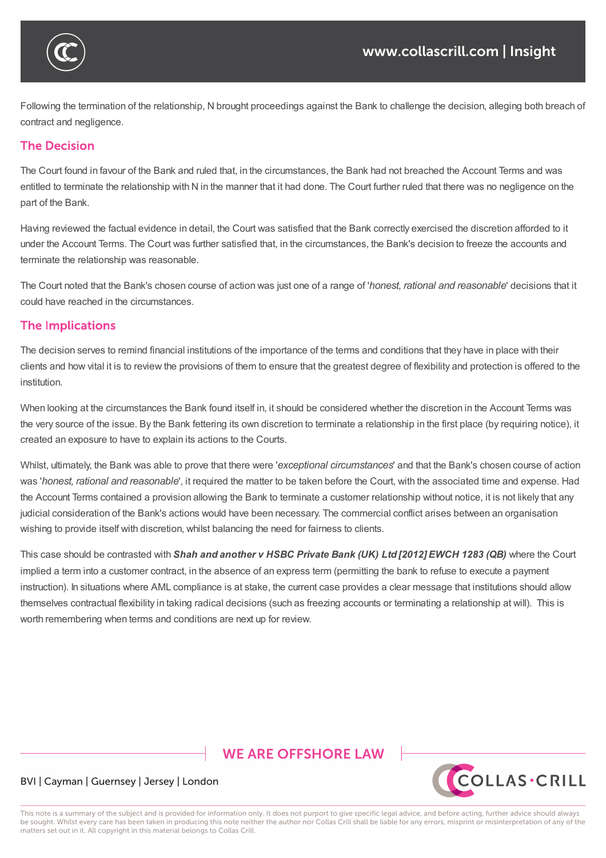

Following the termination of the relationship, N brought proceedings against the Bank to challenge the decision, alleging both breach of contract and negligence.

### **The Decision**

The Court found in favour of the Bank and ruled that, in the circumstances, the Bank had not breached the Account Terms and was entitled to terminate the relationship with N in the manner that it had done. The Court further ruled that there was no negligence on the part of the Bank.

Having reviewed the factual evidence in detail, the Court was satisfied that the Bank correctly exercised the discretion afforded to it under the Account Terms. The Court was further satisfied that, in the circumstances, the Bank's decision to freeze the accounts and terminate the relationship was reasonable.

The Court noted that the Bank's chosen course of action was just one of a range of '*honest, rational and reasonable*' decisions that it could have reached in the circumstances.

### **The Implications**

The decision serves to remind financial institutions of the importance of the terms and conditions that they have in place with their clients and how vital it is to review the provisions of them to ensure that the greatest degree of flexibility and protection is offered to the institution.

When looking at the circumstances the Bank found itself in, it should be considered whether the discretion in the Account Terms was the very source of the issue. By the Bank fettering its own discretion to terminate a relationship in the first place (by requiring notice), it created an exposure to have to explain its actions to the Courts.

Whilst, ultimately, the Bank was able to prove that there were '*exceptional circumstances*' and that the Bank's chosen course of action was '*honest, rational and reasonable*', it required the matter to be taken before the Court, with the associated time and expense. Had the Account Terms contained a provision allowing the Bank to terminate a customer relationship without notice, it is not likely that any judicial consideration of the Bank's actions would have been necessary. The commercial conflict arises between an organisation wishing to provide itself with discretion, whilst balancing the need for fairness to clients.

This case should be contrasted with *Shah and another v HSBC Private Bank (UK) Ltd [2012] EWCH 1283 (QB)* where the Court implied a term into a customer contract, in the absence of an express term (permitting the bank to refuse to execute a payment instruction). In situations where AML compliance is at stake, the current case provides a clear message that institutions should allow themselves contractual flexibility in taking radical decisions (such as freezing accounts or terminating a relationship at will). This is worth remembering when terms and conditions are next up for review.

# **WE ARE OFFSHORE LAW**



### BVI | Cayman | Guernsey | Jersey | London

This note is a summary of the subject and is provided for information only. It does not purport to give specific legal advice, and before acting, further advice should always be sought. Whilst every care has been taken in producing this note neither the author nor Collas Crill shall be liable for any errors, misprint or misinterpretation of any of the matters set out in it. All copyright in this material belongs to Collas Crill.